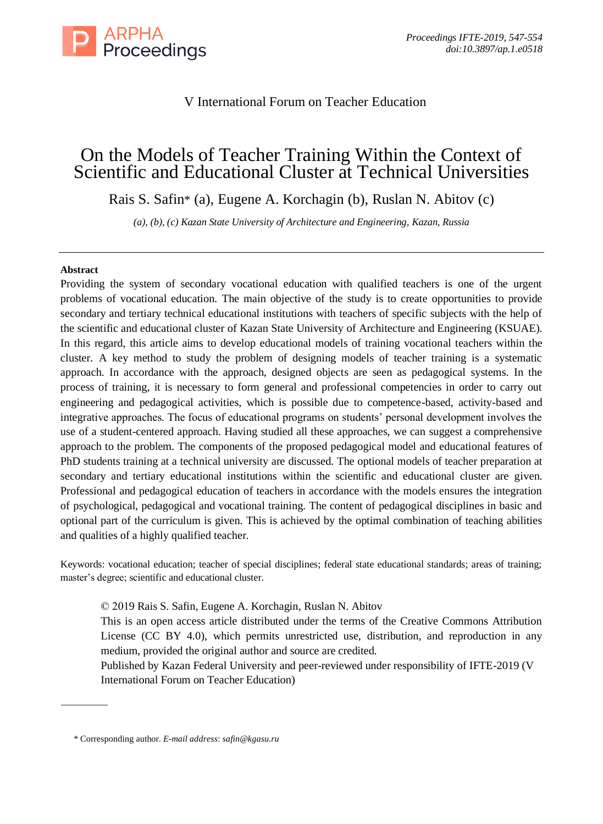

# V International Forum on Teacher Education

# On the Models of Teacher Training Within the Context of Scientific and Educational Cluster at Technical Universities

Rais S. Safin\* (a), Eugene A. Korchagin (b), Ruslan N. Abitov (c)

*(a), (b), (c) Kazan State University of Architecture and Engineering, Kazan, Russia*

# **Abstract**

Providing the system of secondary vocational education with qualified teachers is one of the urgent problems of vocational education. The main objective of the study is to create opportunities to provide secondary and tertiary technical educational institutions with teachers of specific subjects with the help of the scientific and educational cluster of Kazan State University of Architecture and Engineering (KSUAE). In this regard, this article aims to develop educational models of training vocational teachers within the cluster. A key method to study the problem of designing models of teacher training is a systematic approach. In accordance with the approach, designed objects are seen as pedagogical systems. In the process of training, it is necessary to form general and professional competencies in order to carry out engineering and pedagogical activities, which is possible due to competence-based, activity-based and integrative approaches. The focus of educational programs on students' personal development involves the use of a student-centered approach. Having studied all these approaches, we can suggest a comprehensive approach to the problem. The components of the proposed pedagogical model and educational features of PhD students training at a technical university are discussed. The optional models of teacher preparation at secondary and tertiary educational institutions within the scientific and educational cluster are given. Professional and pedagogical education of teachers in accordance with the models ensures the integration of psychological, pedagogical and vocational training. The content of pedagogical disciplines in basic and optional part of the curriculum is given. This is achieved by the optimal combination of teaching abilities and qualities of a highly qualified teacher.

Keywords: vocational education; teacher of special disciplines; federal state educational standards; areas of training; master's degree; scientific and educational cluster.

© 2019 Rais S. Safin, Eugene A. Korchagin, Ruslan N. Abitov

This is an open access article distributed under the terms of the Creative Commons Attribution License (CC BY 4.0), which permits unrestricted use, distribution, and reproduction in any medium, provided the original author and source are credited.

Published by Kazan Federal University and peer-reviewed under responsibility of IFTE-2019 (V International Forum on Teacher Education)

<sup>\*</sup> Corresponding author. *E-mail address*: *safin@kgasu.ru*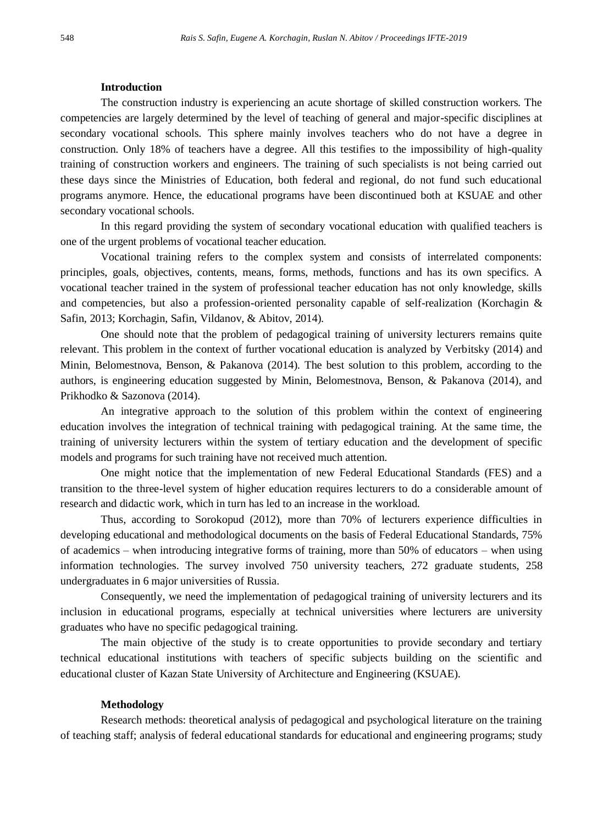# **Introduction**

The construction industry is experiencing an acute shortage of skilled construction workers. The competencies are largely determined by the level of teaching of general and major-specific disciplines at secondary vocational schools. This sphere mainly involves teachers who do not have a degree in construction. Only 18% of teachers have a degree. All this testifies to the impossibility of high-quality training of construction workers and engineers. The training of such specialists is not being carried out these days since the Ministries of Education, both federal and regional, do not fund such educational programs anymore. Hence, the educational programs have been discontinued both at KSUAE and other secondary vocational schools.

In this regard providing the system of secondary vocational education with qualified teachers is one of the urgent problems of vocational teacher education.

Vocational training refers to the complex system and consists of interrelated components: principles, goals, objectives, contents, means, forms, methods, functions and has its own specifics. A vocational teacher trained in the system of professional teacher education has not only knowledge, skills and competencies, but also a profession-oriented personality capable of self-realization (Korchagin & Safin, 2013; Korchagin, Safin, Vildanov, & Abitov, 2014).

One should note that the problem of pedagogical training of university lecturers remains quite relevant. This problem in the context of further vocational education is analyzed by Verbitsky (2014) and Minin, Belomestnova, Benson, & Pakanova (2014). The best solution to this problem, according to the authors, is engineering education suggested by Minin, Belomestnova, Benson, & Pakanova (2014), and Prikhodko & Sazonova (2014).

An integrative approach to the solution of this problem within the context of engineering education involves the integration of technical training with pedagogical training. At the same time, the training of university lecturers within the system of tertiary education and the development of specific models and programs for such training have not received much attention.

One might notice that the implementation of new Federal Educational Standards (FES) and a transition to the three-level system of higher education requires lecturers to do a considerable amount of research and didactic work, which in turn has led to an increase in the workload.

Thus, according to Sorokopud (2012), more than 70% of lecturers experience difficulties in developing educational and methodological documents on the basis of Federal Educational Standards, 75% of academics – when introducing integrative forms of training, more than 50% of educators – when using information technologies. The survey involved 750 university teachers, 272 graduate students, 258 undergraduates in 6 major universities of Russia.

Consequently, we need the implementation of pedagogical training of university lecturers and its inclusion in educational programs, especially at technical universities where lecturers are university graduates who have no specific pedagogical training.

The main objective of the study is to create opportunities to provide secondary and tertiary technical educational institutions with teachers of specific subjects building on the scientific and educational cluster of Kazan State University of Architecture and Engineering (KSUAE).

#### **Methodology**

Research methods: theoretical analysis of pedagogical and psychological literature on the training of teaching staff; analysis of federal educational standards for educational and engineering programs; study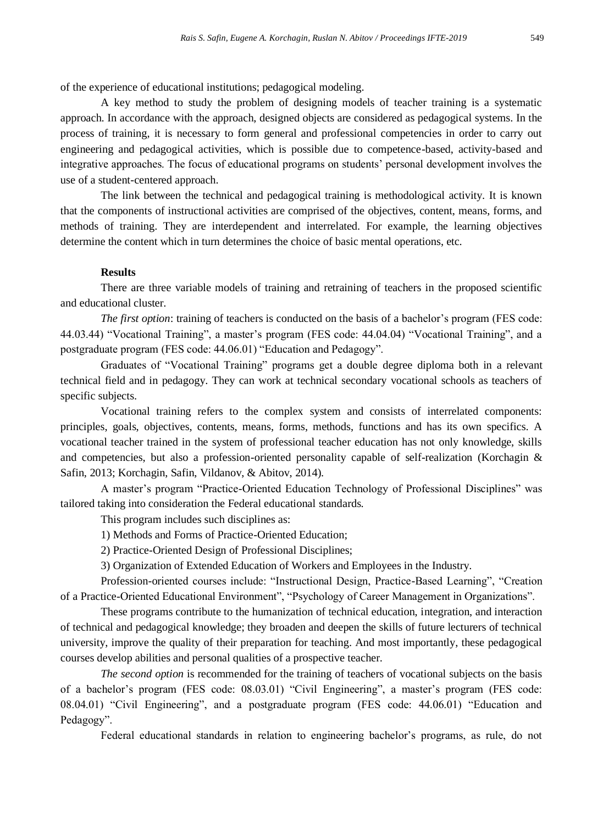of the experience of educational institutions; pedagogical modeling.

A key method to study the problem of designing models of teacher training is a systematic approach. In accordance with the approach, designed objects are considered as pedagogical systems. In the process of training, it is necessary to form general and professional competencies in order to carry out engineering and pedagogical activities, which is possible due to competence-based, activity-based and integrative approaches. The focus of educational programs on students' personal development involves the use of a student-centered approach.

The link between the technical and pedagogical training is methodological activity. It is known that the components of instructional activities are comprised of the objectives, content, means, forms, and methods of training. They are interdependent and interrelated. For example, the learning objectives determine the content which in turn determines the choice of basic mental operations, etc.

# **Results**

There are three variable models of training and retraining of teachers in the proposed scientific and educational cluster.

*The first option*: training of teachers is conducted on the basis of a bachelor's program (FES code: 44.03.44) "Vocational Training", a master's program (FES code: 44.04.04) "Vocational Training", and a postgraduate program (FES code: 44.06.01) "Education and Pedagogy".

Graduates of "Vocational Training" programs get a double degree diploma both in a relevant technical field and in pedagogy. They can work at technical secondary vocational schools as teachers of specific subjects.

Vocational training refers to the complex system and consists of interrelated components: principles, goals, objectives, contents, means, forms, methods, functions and has its own specifics. A vocational teacher trained in the system of professional teacher education has not only knowledge, skills and competencies, but also a profession-oriented personality capable of self-realization (Korchagin & Safin, 2013; Korchagin, Safin, Vildanov, & Abitov, 2014).

A master's program "Practice-Oriented Education Technology of Professional Disciplines" was tailored taking into consideration the Federal educational standards.

This program includes such disciplines as:

1) Methods and Forms of Practice-Oriented Education;

2) Practice-Oriented Design of Professional Disciplines;

3) Organization of Extended Education of Workers and Employees in the Industry.

Profession-oriented courses include: "Instructional Design, Practice-Based Learning", "Creation of a Practice-Oriented Educational Environment", "Psychology of Career Management in Organizations".

These programs contribute to the humanization of technical education, integration, and interaction of technical and pedagogical knowledge; they broaden and deepen the skills of future lecturers of technical university, improve the quality of their preparation for teaching. And most importantly, these pedagogical courses develop abilities and personal qualities of a prospective teacher.

*The second option* is recommended for the training of teachers of vocational subjects on the basis of a bachelor's program (FES code: 08.03.01) "Civil Engineering", a master's program (FES code: 08.04.01) "Civil Engineering", and a postgraduate program (FES code: 44.06.01) "Education and Pedagogy".

Federal educational standards in relation to engineering bachelor's programs, as rule, do not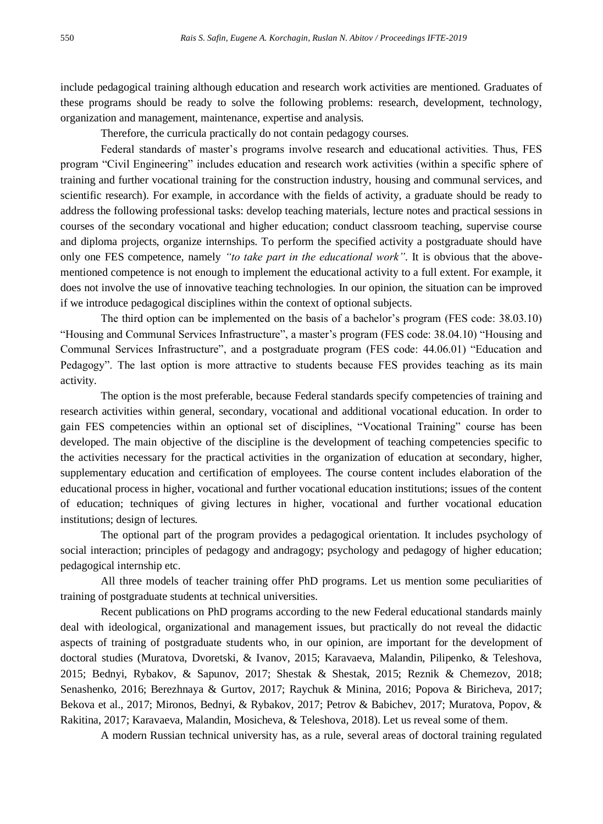include pedagogical training although education and research work activities are mentioned. Graduates of these programs should be ready to solve the following problems: research, development, technology, organization and management, maintenance, expertise and analysis.

Therefore, the curricula practically do not contain pedagogy courses.

Federal standards of master's programs involve research and educational activities. Thus, FES program "Civil Engineering" includes education and research work activities (within a specific sphere of training and further vocational training for the construction industry, housing and communal services, and scientific research). For example, in accordance with the fields of activity, a graduate should be ready to address the following professional tasks: develop teaching materials, lecture notes and practical sessions in courses of the secondary vocational and higher education; conduct classroom teaching, supervise course and diploma projects, organize internships. To perform the specified activity a postgraduate should have only one FES competence, namely *"to take part in the educational work"*. It is obvious that the abovementioned competence is not enough to implement the educational activity to a full extent. For example, it does not involve the use of innovative teaching technologies. In our opinion, the situation can be improved if we introduce pedagogical disciplines within the context of optional subjects.

The third option can be implemented on the basis of a bachelor's program (FES code: 38.03.10) "Housing and Communal Services Infrastructure", a master's program (FES code: 38.04.10) "Housing and Communal Services Infrastructure", and a postgraduate program (FES code: 44.06.01) "Education and Pedagogy". The last option is more attractive to students because FES provides teaching as its main activity.

The option is the most preferable, because Federal standards specify competencies of training and research activities within general, secondary, vocational and additional vocational education. In order to gain FES competencies within an optional set of disciplines, "Vocational Training" course has been developed. The main objective of the discipline is the development of teaching competencies specific to the activities necessary for the practical activities in the organization of education at secondary, higher, supplementary education and certification of employees. The course content includes elaboration of the educational process in higher, vocational and further vocational education institutions; issues of the content of education; techniques of giving lectures in higher, vocational and further vocational education institutions; design of lectures.

The optional part of the program provides a pedagogical orientation. It includes psychology of social interaction; principles of pedagogy and andragogy; psychology and pedagogy of higher education; pedagogical internship etc.

All three models of teacher training offer PhD programs. Let us mention some peculiarities of training of postgraduate students at technical universities.

Recent publications on PhD programs according to the new Federal educational standards mainly deal with ideological, organizational and management issues, but practically do not reveal the didactic aspects of training of postgraduate students who, in our opinion, are important for the development of doctoral studies (Muratova, Dvoretski, & Ivanov, 2015; Karavaeva, Malandin, Pilipenko, & Teleshova, 2015; Bednyi, Rybakov, & Sapunov, 2017; Shestak & Shestak, 2015; Reznik & Chemezov, 2018; Senashenko, 2016; Berezhnaya & Gurtov, 2017; Raychuk & Minina, 2016; Popova & Biricheva, 2017; Bekova et al., 2017; Mironos, Bednyi, & Rybakov, 2017; Petrov & Babichev, 2017; Muratova, Popov, & Rakitina, 2017; Karavaeva, Malandin, Mosicheva, & Teleshova, 2018). Let us reveal some of them.

A modern Russian technical university has, as a rule, several areas of doctoral training regulated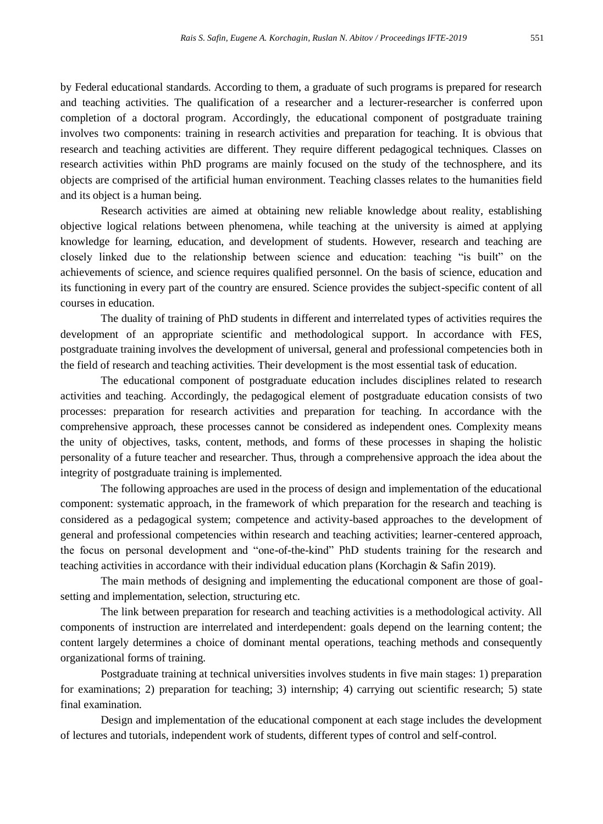by Federal educational standards. According to them, a graduate of such programs is prepared for research and teaching activities. The qualification of a researcher and a lecturer-researcher is conferred upon completion of a doctoral program. Accordingly, the educational component of postgraduate training involves two components: training in research activities and preparation for teaching. It is obvious that research and teaching activities are different. They require different pedagogical techniques. Classes on research activities within PhD programs are mainly focused on the study of the technosphere, and its objects are comprised of the artificial human environment. Teaching classes relates to the humanities field and its object is a human being.

Research activities are aimed at obtaining new reliable knowledge about reality, establishing objective logical relations between phenomena, while teaching at the university is aimed at applying knowledge for learning, education, and development of students. However, research and teaching are closely linked due to the relationship between science and education: teaching "is built" on the achievements of science, and science requires qualified personnel. On the basis of science, education and its functioning in every part of the country are ensured. Science provides the subject-specific content of all courses in education.

The duality of training of PhD students in different and interrelated types of activities requires the development of an appropriate scientific and methodological support. In accordance with FES, postgraduate training involves the development of universal, general and professional competencies both in the field of research and teaching activities. Their development is the most essential task of education.

The educational component of postgraduate education includes disciplines related to research activities and teaching. Accordingly, the pedagogical element of postgraduate education consists of two processes: preparation for research activities and preparation for teaching. In accordance with the comprehensive approach, these processes cannot be considered as independent ones. Complexity means the unity of objectives, tasks, content, methods, and forms of these processes in shaping the holistic personality of a future teacher and researcher. Thus, through a comprehensive approach the idea about the integrity of postgraduate training is implemented.

The following approaches are used in the process of design and implementation of the educational component: systematic approach, in the framework of which preparation for the research and teaching is considered as a pedagogical system; competence and activity-based approaches to the development of general and professional competencies within research and teaching activities; learner-centered approach, the focus on personal development and "one-of-the-kind" PhD students training for the research and teaching activities in accordance with their individual education plans (Korchagin & Safin 2019).

The main methods of designing and implementing the educational component are those of goalsetting and implementation, selection, structuring etc.

The link between preparation for research and teaching activities is a methodological activity. All components of instruction are interrelated and interdependent: goals depend on the learning content; the content largely determines a choice of dominant mental operations, teaching methods and consequently organizational forms of training.

Postgraduate training at technical universities involves students in five main stages: 1) preparation for examinations; 2) preparation for teaching; 3) internship; 4) carrying out scientific research; 5) state final examination.

Design and implementation of the educational component at each stage includes the development of lectures and tutorials, independent work of students, different types of control and self-control.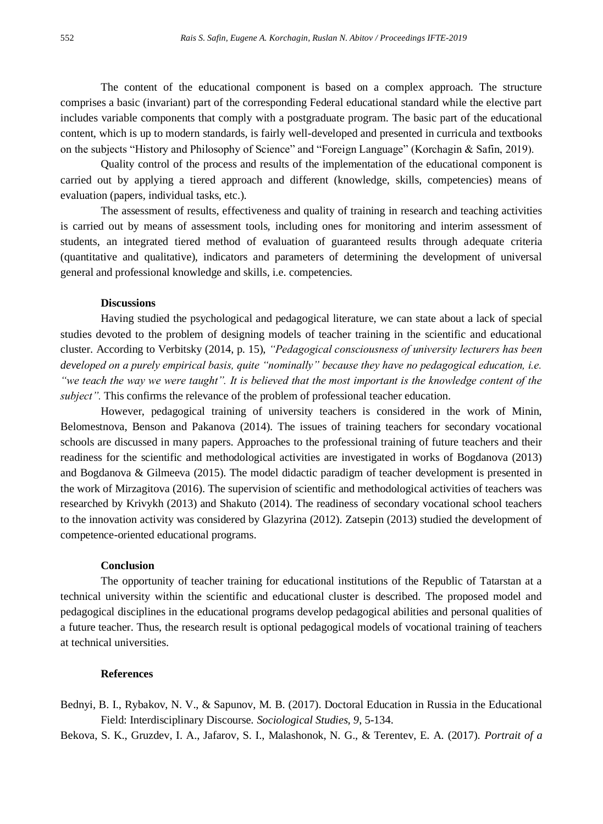The content of the educational component is based on a complex approach. The structure comprises a basic (invariant) part of the corresponding Federal educational standard while the elective part includes variable components that comply with a postgraduate program. The basic part of the educational content, which is up to modern standards, is fairly well-developed and presented in curricula and textbooks on the subjects "History and Philosophy of Science" and "Foreign Language" (Korchagin & Safin, 2019).

Quality control of the process and results of the implementation of the educational component is carried out by applying a tiered approach and different (knowledge, skills, competencies) means of evaluation (papers, individual tasks, etc.).

The assessment of results, effectiveness and quality of training in research and teaching activities is carried out by means of assessment tools, including ones for monitoring and interim assessment of students, an integrated tiered method of evaluation of guaranteed results through adequate criteria (quantitative and qualitative), indicators and parameters of determining the development of universal general and professional knowledge and skills, i.e. competencies.

### **Discussions**

Having studied the psychological and pedagogical literature, we can state about a lack of special studies devoted to the problem of designing models of teacher training in the scientific and educational cluster. According to Verbitsky (2014, p. 15), *"Pedagogical consciousness of university lecturers has been developed on a purely empirical basis, quite "nominally" because they have no pedagogical education, i.e. "we teach the way we were taught". It is believed that the most important is the knowledge content of the subject".* This confirms the relevance of the problem of professional teacher education.

However, pedagogical training of university teachers is considered in the work of Minin, Belomestnova, Benson and Pakanova (2014). The issues of training teachers for secondary vocational schools are discussed in many papers. Approaches to the professional training of future teachers and their readiness for the scientific and methodological activities are investigated in works of Bogdanova (2013) and Bogdanova & Gilmeeva (2015). The model didactic paradigm of teacher development is presented in the work of Mirzagitova (2016). The supervision of scientific and methodological activities of teachers was researched by Krivykh (2013) and Shakuto (2014). The readiness of secondary vocational school teachers to the innovation activity was considered by Glazyrina (2012). Zatsepin (2013) studied the development of competence-oriented educational programs.

#### **Conclusion**

The opportunity of teacher training for educational institutions of the Republic of Tatarstan at a technical university within the scientific and educational cluster is described. The proposed model and pedagogical disciplines in the educational programs develop pedagogical abilities and personal qualities of a future teacher. Thus, the research result is optional pedagogical models of vocational training of teachers at technical universities.

# **References**

- Bednyi, B. I., Rybakov, N. V., & Sapunov, M. B. (2017). Doctoral Education in Russia in the Educational Field: Interdisciplinary Discourse. *Sociological Studies, 9*, 5-134.
- Bekova, S. K., Gruzdev, I. A., Jafarov, S. I., Malashonok, N. G., & Terentev, E. A. (2017). *Portrait of a*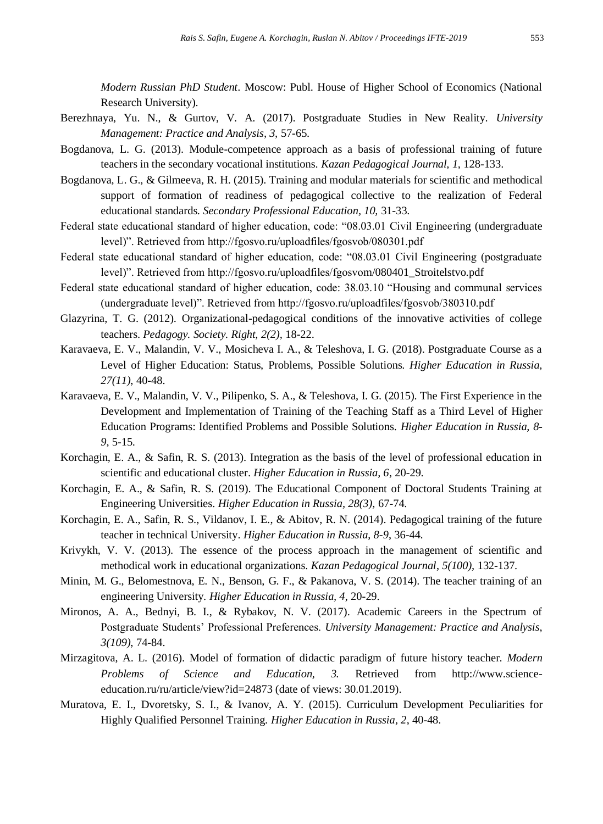*Modern Russian PhD Student*. Moscow: Publ. House of Higher School of Economics (National Research University).

- Berezhnaya, Yu. N., & Gurtov, V. A. (2017). Postgraduate Studies in New Reality. *University Management: Practice and Analysis, 3,* 57-65.
- Bogdanova, L. G. (2013). Module-competence approach as a basis of professional training of future teachers in the secondary vocational institutions. *Kazan Pedagogical Journal, 1,* 128-133.
- Bogdanova, L. G., & Gilmeeva, R. H. (2015). Training and modular materials for scientific and methodical support of formation of readiness of pedagogical collective to the realization of Federal educational standards. *Secondary Professional Education, 10,* 31-33.
- Federal state educational standard of higher education, code: "08.03.01 Civil Engineering (undergraduate level)". Retrieved from http://fgosvo.ru/uploadfiles/fgosvob/080301.pdf
- Federal state educational standard of higher education, code: "08.03.01 Civil Engineering (postgraduate level)". Retrieved from http://fgosvo.ru/uploadfiles/fgosvom/080401\_Stroitelstvo.pdf
- Federal state educational standard of higher education, code: 38.03.10 "Housing and communal services (undergraduate level)". Retrieved from http://fgosvo.ru/uploadfiles/fgosvob/380310.pdf
- Glazyrina, T. G. (2012). Organizational-pedagogical conditions of the innovative activities of college teachers. *Pedagogy. Society. Right, 2(2),* 18-22.
- Karavaeva, E. V., Malandin, V. V., Mosicheva I. A., & Teleshova, I. G. (2018). Postgraduate Course as a Level of Higher Education: Status, Problems, Possible Solutions. *Higher Education in Russia, 27(11)*, 40-48.
- Karavaeva, E. V., Malandin, V. V., Pilipenko, S. A., & Teleshova, I. G. (2015). The First Experience in the Development and Implementation of Training of the Teaching Staff as a Third Level of Higher Education Programs: Identified Problems and Possible Solutions. *Higher Education in Russia, 8- 9*, 5-15.
- Korchagin, E. A., & Safin, R. S. (2013). Integration as the basis of the level of professional education in scientific and educational cluster. *Higher Education in Russia, 6*, 20-29.
- Korchagin, E. A., & Safin, R. S. (2019). The Educational Component of Doctoral Students Training at Engineering Universities. *Higher Education in Russia, 28(3),* 67-74.
- Korchagin, E. A., Safin, R. S., Vildanov, I. E., & Abitov, R. N. (2014). Pedagogical training of the future teacher in technical University. *Higher Education in Russia*, *8-9*, 36-44.
- Krivykh, V. V. (2013). The essence of the process approach in the management of scientific and methodical work in educational organizations. *Kazan Pedagogical Journal*, *5(100),* 132-137.
- Minin, M. G., Belomestnova, E. N., Benson, G. F., & Pakanova, V. S. (2014). The teacher training of an engineering University. *Higher Education in Russia, 4*, 20-29.
- Mironos, A. A., Bednyi, B. I., & Rybakov, N. V. (2017). Academic Careers in the Spectrum of Postgraduate Students' Professional Preferences. *University Management: Practice and Analysis*, *3(109)*, 74-84.
- Mirzagitova, A. L. (2016). Model of formation of didactic paradigm of future history teacher. *Modern Problems of Science and Education, 3.* Retrieved from http://www.scienceeducation.ru/ru/article/view?id=24873 (date of views: 30.01.2019).
- Muratova, E. I., Dvoretsky, S. I., & Ivanov, A. Y. (2015). Curriculum Development Peculiarities for Highly Qualified Personnel Training. *Higher Education in Russia, 2*, 40-48.